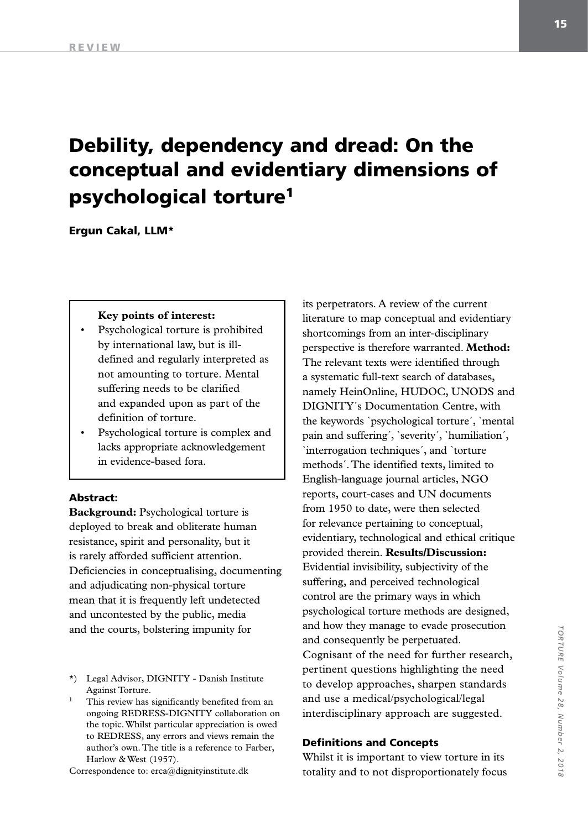# Debility, dependency and dread: On the conceptual and evidentiary dimensions of psychological torture1

Ergun Cakal, LLM\*

#### **Key points of interest:**

- Psychological torture is prohibited by international law, but is illdefined and regularly interpreted as not amounting to torture. Mental suffering needs to be clarified and expanded upon as part of the definition of torture.
- Psychological torture is complex and lacks appropriate acknowledgement in evidence-based fora.

#### Abstract:

**Background:** Psychological torture is deployed to break and obliterate human resistance, spirit and personality, but it is rarely afforded sufficient attention. Deficiencies in conceptualising, documenting and adjudicating non-physical torture mean that it is frequently left undetected and uncontested by the public, media and the courts, bolstering impunity for

- \*) Legal Advisor, DIGNITY Danish Institute Against Torture.
- This review has significantly benefited from an ongoing REDRESS-DIGNITY collaboration on the topic. Whilst particular appreciation is owed to REDRESS, any errors and views remain the author's own. The title is a reference to Farber, Harlow & West (1957).

Correspondence to: erca@dignityinstitute.dk

its perpetrators. A review of the current literature to map conceptual and evidentiary shortcomings from an inter-disciplinary perspective is therefore warranted. **Method:**  The relevant texts were identified through a systematic full-text search of databases, namely HeinOnline, HUDOC, UNODS and DIGNITY´s Documentation Centre, with the keywords `psychological torture´, `mental pain and suffering´, `severity´, `humiliation´, `interrogation techniques´, and `torture methods´. The identified texts, limited to English-language journal articles, NGO reports, court-cases and UN documents from 1950 to date, were then selected for relevance pertaining to conceptual, evidentiary, technological and ethical critique provided therein. **Results/Discussion:**  Evidential invisibility, subjectivity of the suffering, and perceived technological control are the primary ways in which psychological torture methods are designed, and how they manage to evade prosecution and consequently be perpetuated. Cognisant of the need for further research, pertinent questions highlighting the need to develop approaches, sharpen standards and use a medical/psychological/legal interdisciplinary approach are suggested.

#### Definitions and Concepts

Whilst it is important to view torture in its totality and to not disproportionately focus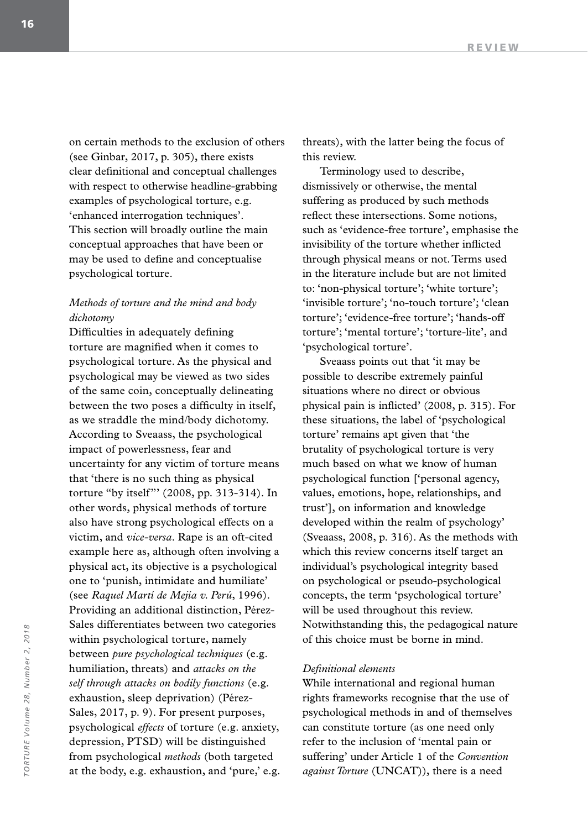on certain methods to the exclusion of others (see Ginbar, 2017, p. 305), there exists clear definitional and conceptual challenges with respect to otherwise headline-grabbing examples of psychological torture, e.g. 'enhanced interrogation techniques'. This section will broadly outline the main conceptual approaches that have been or may be used to define and conceptualise psychological torture.

### *Methods of torture and the mind and body dichotomy*

Difficulties in adequately defining torture are magnified when it comes to psychological torture. As the physical and psychological may be viewed as two sides of the same coin, conceptually delineating between the two poses a difficulty in itself, as we straddle the mind/body dichotomy. According to Sveaass, the psychological impact of powerlessness, fear and uncertainty for any victim of torture means that 'there is no such thing as physical torture "by itself"' (2008, pp. 313-314). In other words, physical methods of torture also have strong psychological effects on a victim, and *vice-versa*. Rape is an oft-cited example here as, although often involving a physical act, its objective is a psychological one to 'punish, intimidate and humiliate' (see *Raquel Martí de Mejía v. Perú*, 1996). Providing an additional distinction, Pérez-Sales differentiates between two categories within psychological torture, namely between *pure psychological techniques* (e.g. humiliation, threats) and *attacks on the self through attacks on bodily functions* (e.g. exhaustion, sleep deprivation) (Pérez-Sales, 2017, p. 9). For present purposes, psychological *effects* of torture (e.g. anxiety, depression, PTSD) will be distinguished from psychological *methods* (both targeted at the body, e.g. exhaustion, and 'pure,' e.g. threats), with the latter being the focus of this review.

Terminology used to describe, dismissively or otherwise, the mental suffering as produced by such methods reflect these intersections. Some notions, such as 'evidence-free torture', emphasise the invisibility of the torture whether inflicted through physical means or not. Terms used in the literature include but are not limited to: 'non-physical torture'; 'white torture'; 'invisible torture'; 'no-touch torture'; 'clean torture'; 'evidence-free torture'; 'hands-off torture'; 'mental torture'; 'torture-lite', and 'psychological torture'.

Sveaass points out that 'it may be possible to describe extremely painful situations where no direct or obvious physical pain is inflicted' (2008, p. 315). For these situations, the label of 'psychological torture' remains apt given that 'the brutality of psychological torture is very much based on what we know of human psychological function ['personal agency, values, emotions, hope, relationships, and trust'], on information and knowledge developed within the realm of psychology' (Sveaass, 2008, p. 316). As the methods with which this review concerns itself target an individual's psychological integrity based on psychological or pseudo-psychological concepts, the term 'psychological torture' will be used throughout this review. Notwithstanding this, the pedagogical nature of this choice must be borne in mind.

#### *Definitional elements*

While international and regional human rights frameworks recognise that the use of psychological methods in and of themselves can constitute torture (as one need only refer to the inclusion of 'mental pain or suffering' under Article 1 of the *Convention against Torture* (UNCAT)), there is a need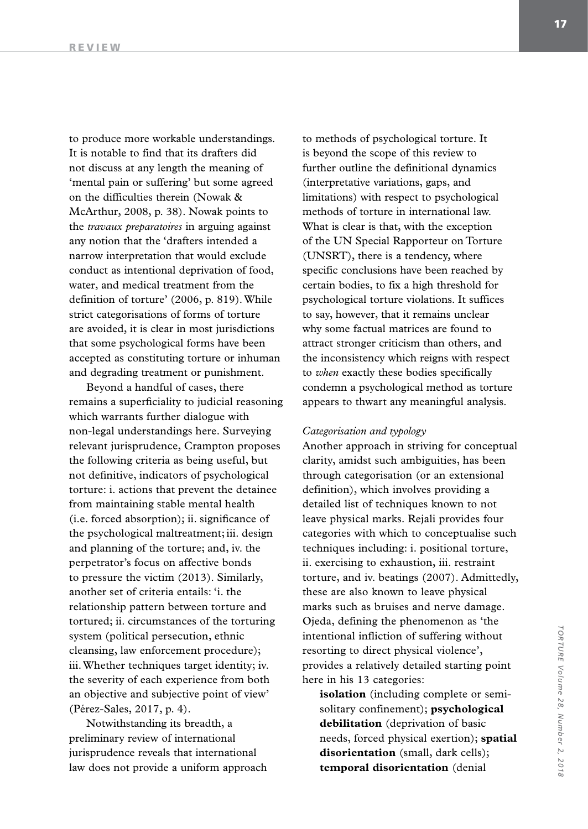to produce more workable understandings. It is notable to find that its drafters did not discuss at any length the meaning of 'mental pain or suffering' but some agreed on the difficulties therein (Nowak & McArthur, 2008, p. 38). Nowak points to the *travaux preparatoires* in arguing against any notion that the 'drafters intended a narrow interpretation that would exclude conduct as intentional deprivation of food, water, and medical treatment from the definition of torture' (2006, p. 819). While strict categorisations of forms of torture are avoided, it is clear in most jurisdictions that some psychological forms have been accepted as constituting torture or inhuman and degrading treatment or punishment.

Beyond a handful of cases, there remains a superficiality to judicial reasoning which warrants further dialogue with non-legal understandings here. Surveying relevant jurisprudence, Crampton proposes the following criteria as being useful, but not definitive, indicators of psychological torture: i. actions that prevent the detainee from maintaining stable mental health (i.e. forced absorption); ii. significance of the psychological maltreatment; iii. design and planning of the torture; and, iv. the perpetrator's focus on affective bonds to pressure the victim (2013). Similarly, another set of criteria entails: 'i. the relationship pattern between torture and tortured; ii. circumstances of the torturing system (political persecution, ethnic cleansing, law enforcement procedure); iii. Whether techniques target identity; iv. the severity of each experience from both an objective and subjective point of view' (Pérez-Sales, 2017, p. 4).

Notwithstanding its breadth, a preliminary review of international jurisprudence reveals that international law does not provide a uniform approach to methods of psychological torture. It is beyond the scope of this review to further outline the definitional dynamics (interpretative variations, gaps, and limitations) with respect to psychological methods of torture in international law. What is clear is that, with the exception of the UN Special Rapporteur on Torture (UNSRT), there is a tendency, where specific conclusions have been reached by certain bodies, to fix a high threshold for psychological torture violations. It suffices to say, however, that it remains unclear why some factual matrices are found to attract stronger criticism than others, and the inconsistency which reigns with respect to *when* exactly these bodies specifically condemn a psychological method as torture appears to thwart any meaningful analysis.

#### *Categorisation and typology*

Another approach in striving for conceptual clarity, amidst such ambiguities, has been through categorisation (or an extensional definition), which involves providing a detailed list of techniques known to not leave physical marks. Rejali provides four categories with which to conceptualise such techniques including: i. positional torture, ii. exercising to exhaustion, iii. restraint torture, and iv. beatings (2007). Admittedly, these are also known to leave physical marks such as bruises and nerve damage. Ojeda, defining the phenomenon as 'the intentional infliction of suffering without resorting to direct physical violence', provides a relatively detailed starting point here in his 13 categories:

**isolation** (including complete or semisolitary confinement); **psychological debilitation** (deprivation of basic needs, forced physical exertion); **spatial disorientation** (small, dark cells); **temporal disorientation** (denial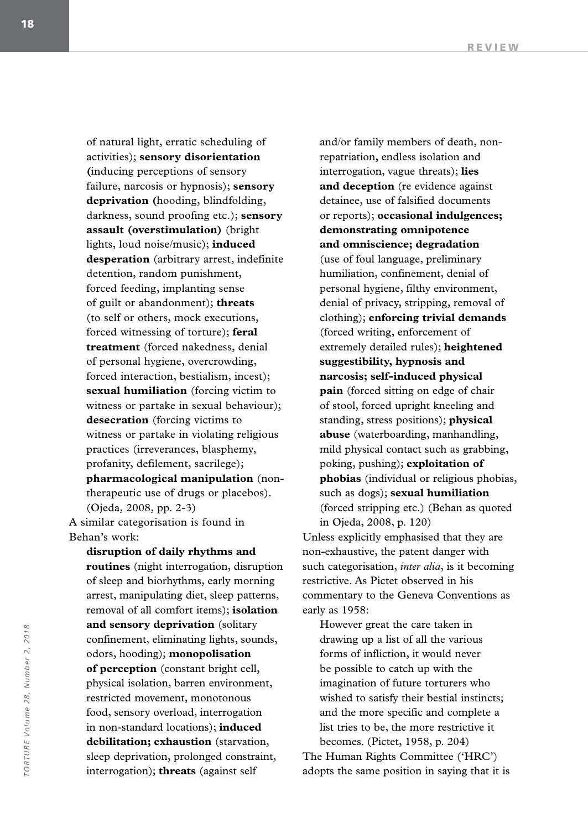of natural light, erratic scheduling of activities); **sensory disorientation (**inducing perceptions of sensory failure, narcosis or hypnosis); **sensory deprivation (**hooding, blindfolding, darkness, sound proofing etc.); **sensory assault (overstimulation)** (bright lights, loud noise/music); **induced desperation** (arbitrary arrest, indefinite detention, random punishment, forced feeding, implanting sense of guilt or abandonment); **threats**  (to self or others, mock executions, forced witnessing of torture); **feral treatment** (forced nakedness, denial of personal hygiene, overcrowding, forced interaction, bestialism, incest); **sexual humiliation** (forcing victim to witness or partake in sexual behaviour); **desecration** (forcing victims to witness or partake in violating religious practices (irreverances, blasphemy, profanity, defilement, sacrilege); **pharmacological manipulation** (nontherapeutic use of drugs or placebos). (Ojeda, 2008, pp. 2-3) A similar categorisation is found in Behan's work:

**disruption of daily rhythms and routines** (night interrogation, disruption of sleep and biorhythms, early morning arrest, manipulating diet, sleep patterns, removal of all comfort items); **isolation and sensory deprivation** (solitary confinement, eliminating lights, sounds, odors, hooding); **monopolisation of perception** (constant bright cell, physical isolation, barren environment, restricted movement, monotonous food, sensory overload, interrogation in non-standard locations); **induced debilitation; exhaustion** (starvation, sleep deprivation, prolonged constraint, interrogation); **threats** (against self

and/or family members of death, nonrepatriation, endless isolation and interrogation, vague threats); **lies and deception** (re evidence against detainee, use of falsified documents or reports); **occasional indulgences; demonstrating omnipotence and omniscience; degradation**  (use of foul language, preliminary humiliation, confinement, denial of personal hygiene, filthy environment, denial of privacy, stripping, removal of clothing); **enforcing trivial demands**  (forced writing, enforcement of extremely detailed rules); **heightened suggestibility, hypnosis and narcosis; self-induced physical pain** (forced sitting on edge of chair of stool, forced upright kneeling and standing, stress positions); **physical abuse** (waterboarding, manhandling, mild physical contact such as grabbing, poking, pushing); **exploitation of phobias** (individual or religious phobias, such as dogs); **sexual humiliation**  (forced stripping etc.) (Behan as quoted in Ojeda, 2008, p. 120)

Unless explicitly emphasised that they are non-exhaustive, the patent danger with such categorisation, *inter alia*, is it becoming restrictive. As Pictet observed in his commentary to the Geneva Conventions as early as 1958:

However great the care taken in drawing up a list of all the various forms of infliction, it would never be possible to catch up with the imagination of future torturers who wished to satisfy their bestial instincts; and the more specific and complete a list tries to be, the more restrictive it becomes. (Pictet, 1958, p. 204) The Human Rights Committee ('HRC')

adopts the same position in saying that it is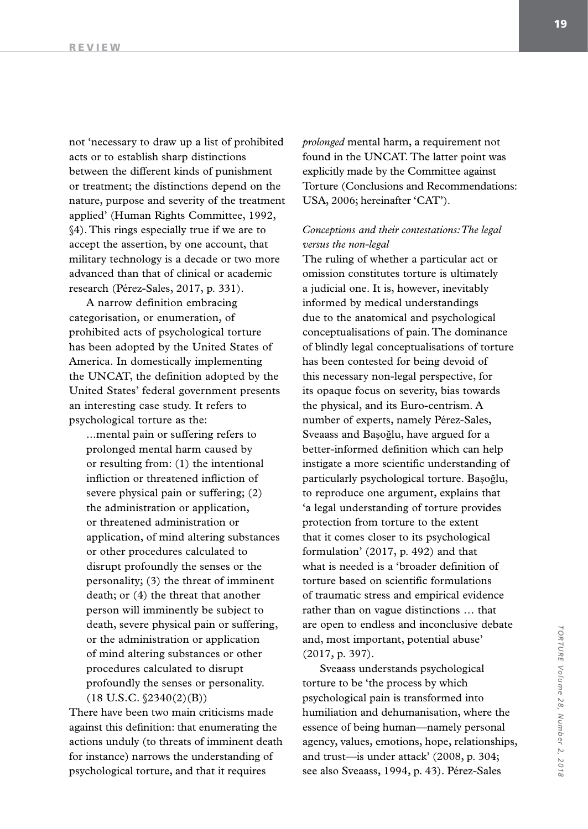not 'necessary to draw up a list of prohibited acts or to establish sharp distinctions between the different kinds of punishment or treatment; the distinctions depend on the nature, purpose and severity of the treatment applied' (Human Rights Committee, 1992, §4). This rings especially true if we are to accept the assertion, by one account, that military technology is a decade or two more advanced than that of clinical or academic research (Pérez-Sales, 2017, p. 331).

A narrow definition embracing categorisation, or enumeration, of prohibited acts of psychological torture has been adopted by the United States of America. In domestically implementing the UNCAT, the definition adopted by the United States' federal government presents an interesting case study. It refers to psychological torture as the:

...mental pain or suffering refers to prolonged mental harm caused by or resulting from: (1) the intentional infliction or threatened infliction of severe physical pain or suffering; (2) the administration or application, or threatened administration or application, of mind altering substances or other procedures calculated to disrupt profoundly the senses or the personality; (3) the threat of imminent death; or (4) the threat that another person will imminently be subject to death, severe physical pain or suffering, or the administration or application of mind altering substances or other procedures calculated to disrupt profoundly the senses or personality.  $(18 \text{ U.S.C. }$  $(2340(2)(B))$ 

There have been two main criticisms made against this definition: that enumerating the actions unduly (to threats of imminent death for instance) narrows the understanding of psychological torture, and that it requires

*prolonged* mental harm, a requirement not found in the UNCAT. The latter point was explicitly made by the Committee against Torture (Conclusions and Recommendations: USA, 2006; hereinafter 'CAT').

## *Conceptions and their contestations: The legal versus the non-legal*

The ruling of whether a particular act or omission constitutes torture is ultimately a judicial one. It is, however, inevitably informed by medical understandings due to the anatomical and psychological conceptualisations of pain. The dominance of blindly legal conceptualisations of torture has been contested for being devoid of this necessary non-legal perspective, for its opaque focus on severity, bias towards the physical, and its Euro-centrism. A number of experts, namely Pérez-Sales, Sveaass and Başoğlu, have argued for a better-informed definition which can help instigate a more scientific understanding of particularly psychological torture. Başoğlu, to reproduce one argument, explains that 'a legal understanding of torture provides protection from torture to the extent that it comes closer to its psychological formulation' (2017, p. 492) and that what is needed is a 'broader definition of torture based on scientific formulations of traumatic stress and empirical evidence rather than on vague distinctions … that are open to endless and inconclusive debate and, most important, potential abuse' (2017, p. 397).

Sveaass understands psychological torture to be 'the process by which psychological pain is transformed into humiliation and dehumanisation, where the essence of being human—namely personal agency, values, emotions, hope, relationships, and trust—is under attack' (2008, p. 304; see also Sveaass, 1994, p. 43). Pérez-Sales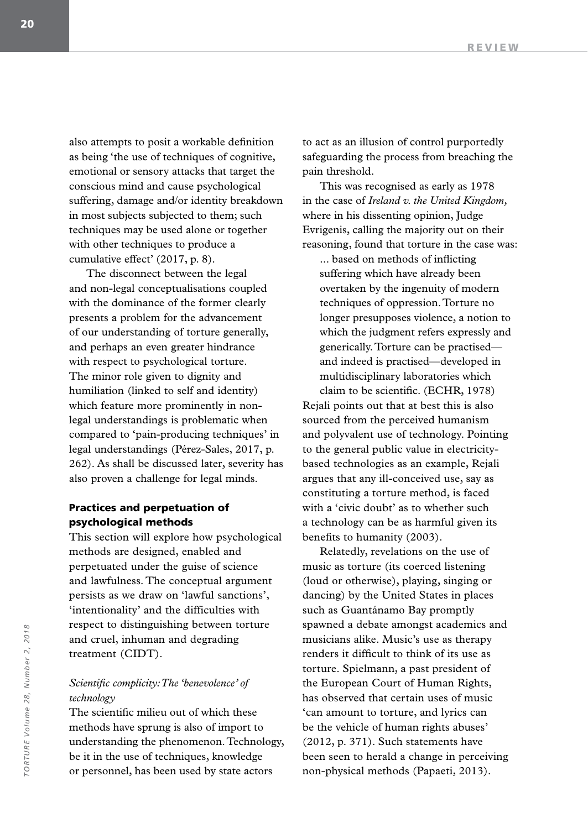also attempts to posit a workable definition as being 'the use of techniques of cognitive, emotional or sensory attacks that target the conscious mind and cause psychological suffering, damage and/or identity breakdown in most subjects subjected to them; such techniques may be used alone or together with other techniques to produce a cumulative effect' (2017, p. 8).

The disconnect between the legal and non-legal conceptualisations coupled with the dominance of the former clearly presents a problem for the advancement of our understanding of torture generally, and perhaps an even greater hindrance with respect to psychological torture. The minor role given to dignity and humiliation (linked to self and identity) which feature more prominently in nonlegal understandings is problematic when compared to 'pain-producing techniques' in legal understandings (Pérez-Sales, 2017, p. 262). As shall be discussed later, severity has also proven a challenge for legal minds.

### Practices and perpetuation of psychological methods

This section will explore how psychological methods are designed, enabled and perpetuated under the guise of science and lawfulness. The conceptual argument persists as we draw on 'lawful sanctions', 'intentionality' and the difficulties with respect to distinguishing between torture and cruel, inhuman and degrading treatment (CIDT).

#### *Scientific complicity: The 'benevolence' of technology*

The scientific milieu out of which these methods have sprung is also of import to understanding the phenomenon. Technology, be it in the use of techniques, knowledge or personnel, has been used by state actors

to act as an illusion of control purportedly safeguarding the process from breaching the pain threshold.

This was recognised as early as 1978 in the case of *Ireland v. the United Kingdom,*  where in his dissenting opinion, Judge Evrigenis, calling the majority out on their reasoning, found that torture in the case was:

... based on methods of inflicting suffering which have already been overtaken by the ingenuity of modern techniques of oppression. Torture no longer presupposes violence, a notion to which the judgment refers expressly and generically. Torture can be practised and indeed is practised—developed in multidisciplinary laboratories which claim to be scientific. (ECHR, 1978)

Rejali points out that at best this is also sourced from the perceived humanism and polyvalent use of technology. Pointing to the general public value in electricitybased technologies as an example, Rejali argues that any ill-conceived use, say as constituting a torture method, is faced with a 'civic doubt' as to whether such a technology can be as harmful given its benefits to humanity (2003).

Relatedly, revelations on the use of music as torture (its coerced listening (loud or otherwise), playing, singing or dancing) by the United States in places such as Guantánamo Bay promptly spawned a debate amongst academics and musicians alike. Music's use as therapy renders it difficult to think of its use as torture. Spielmann, a past president of the European Court of Human Rights, has observed that certain uses of music 'can amount to torture, and lyrics can be the vehicle of human rights abuses' (2012, p. 371). Such statements have been seen to herald a change in perceiving non-physical methods (Papaeti, 2013).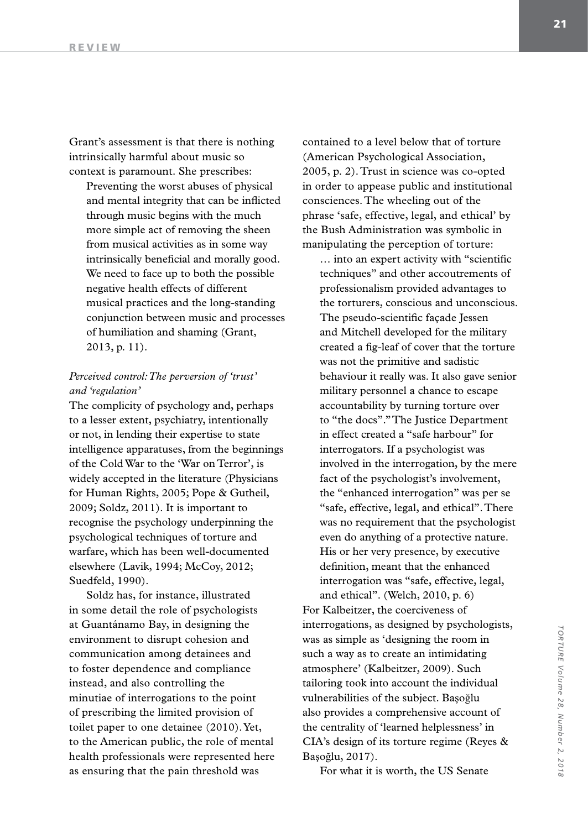Grant's assessment is that there is nothing intrinsically harmful about music so context is paramount. She prescribes:

Preventing the worst abuses of physical and mental integrity that can be inflicted through music begins with the much more simple act of removing the sheen from musical activities as in some way intrinsically beneficial and morally good. We need to face up to both the possible negative health effects of different musical practices and the long-standing conjunction between music and processes of humiliation and shaming (Grant, 2013, p. 11).

### *Perceived control: The perversion of 'trust' and 'regulation'*

The complicity of psychology and, perhaps to a lesser extent, psychiatry, intentionally or not, in lending their expertise to state intelligence apparatuses, from the beginnings of the Cold War to the 'War on Terror', is widely accepted in the literature (Physicians for Human Rights, 2005; Pope & Gutheil, 2009; Soldz, 2011). It is important to recognise the psychology underpinning the psychological techniques of torture and warfare, which has been well-documented elsewhere (Lavik, 1994; McCoy, 2012; Suedfeld, 1990).

Soldz has, for instance, illustrated in some detail the role of psychologists at Guantánamo Bay, in designing the environment to disrupt cohesion and communication among detainees and to foster dependence and compliance instead, and also controlling the minutiae of interrogations to the point of prescribing the limited provision of toilet paper to one detainee (2010). Yet, to the American public, the role of mental health professionals were represented here as ensuring that the pain threshold was

contained to a level below that of torture (American Psychological Association, 2005, p. 2). Trust in science was co-opted in order to appease public and institutional consciences. The wheeling out of the phrase 'safe, effective, legal, and ethical' by the Bush Administration was symbolic in manipulating the perception of torture:

… into an expert activity with "scientific techniques" and other accoutrements of professionalism provided advantages to the torturers, conscious and unconscious. The pseudo-scientific façade Jessen and Mitchell developed for the military created a fig-leaf of cover that the torture was not the primitive and sadistic behaviour it really was. It also gave senior military personnel a chance to escape accountability by turning torture over to "the docs"." The Justice Department in effect created a "safe harbour" for interrogators. If a psychologist was involved in the interrogation, by the mere fact of the psychologist's involvement, the "enhanced interrogation" was per se "safe, effective, legal, and ethical". There was no requirement that the psychologist even do anything of a protective nature. His or her very presence, by executive definition, meant that the enhanced interrogation was "safe, effective, legal,

and ethical". (Welch, 2010, p. 6) For Kalbeitzer, the coerciveness of interrogations, as designed by psychologists, was as simple as 'designing the room in such a way as to create an intimidating atmosphere' (Kalbeitzer, 2009). Such tailoring took into account the individual vulnerabilities of the subject. Başoğlu also provides a comprehensive account of the centrality of 'learned helplessness' in CIA's design of its torture regime (Reyes & Başoğlu, 2017).

For what it is worth, the US Senate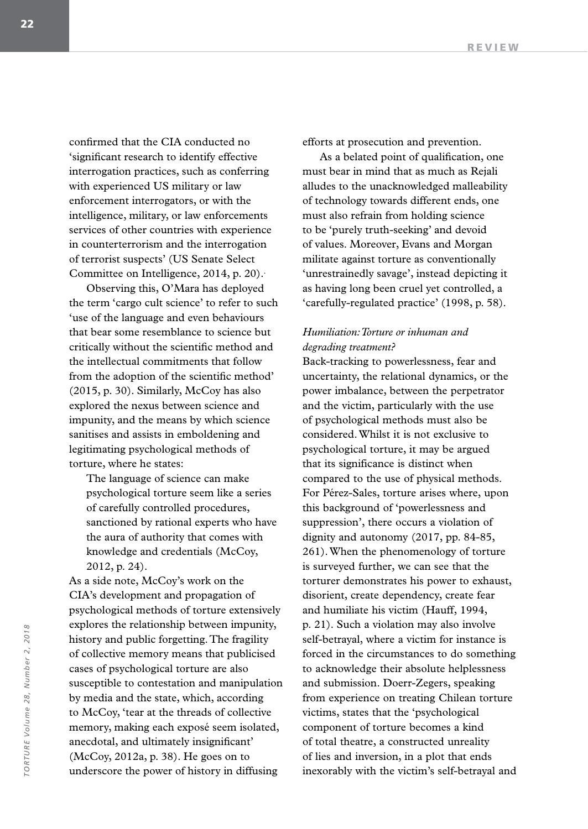confirmed that the CIA conducted no 'significant research to identify effective interrogation practices, such as conferring with experienced US military or law enforcement interrogators, or with the intelligence, military, or law enforcements services of other countries with experience in counterterrorism and the interrogation of terrorist suspects' (US Senate Select Committee on Intelligence, 2014, p. 20)..

Observing this, O'Mara has deployed the term 'cargo cult science' to refer to such 'use of the language and even behaviours that bear some resemblance to science but critically without the scientific method and the intellectual commitments that follow from the adoption of the scientific method' (2015, p. 30). Similarly, McCoy has also explored the nexus between science and impunity, and the means by which science sanitises and assists in emboldening and legitimating psychological methods of torture, where he states:

The language of science can make psychological torture seem like a series of carefully controlled procedures, sanctioned by rational experts who have the aura of authority that comes with knowledge and credentials (McCoy, 2012, p. 24).

As a side note, McCoy's work on the CIA's development and propagation of psychological methods of torture extensively explores the relationship between impunity, history and public forgetting. The fragility of collective memory means that publicised cases of psychological torture are also susceptible to contestation and manipulation by media and the state, which, according to McCoy, 'tear at the threads of collective memory, making each exposé seem isolated, anecdotal, and ultimately insignificant' (McCoy, 2012a, p. 38). He goes on to underscore the power of history in diffusing

efforts at prosecution and prevention.

As a belated point of qualification, one must bear in mind that as much as Rejali alludes to the unacknowledged malleability of technology towards different ends, one must also refrain from holding science to be 'purely truth-seeking' and devoid of values. Moreover, Evans and Morgan militate against torture as conventionally 'unrestrainedly savage', instead depicting it as having long been cruel yet controlled, a 'carefully-regulated practice' (1998, p. 58).

#### *Humiliation: Torture or inhuman and degrading treatment?*

Back-tracking to powerlessness, fear and uncertainty, the relational dynamics, or the power imbalance, between the perpetrator and the victim, particularly with the use of psychological methods must also be considered. Whilst it is not exclusive to psychological torture, it may be argued that its significance is distinct when compared to the use of physical methods. For Pérez-Sales, torture arises where, upon this background of 'powerlessness and suppression', there occurs a violation of dignity and autonomy (2017, pp. 84-85, 261). When the phenomenology of torture is surveyed further, we can see that the torturer demonstrates his power to exhaust, disorient, create dependency, create fear and humiliate his victim (Hauff, 1994, p. 21). Such a violation may also involve self-betrayal, where a victim for instance is forced in the circumstances to do something to acknowledge their absolute helplessness and submission. Doerr-Zegers, speaking from experience on treating Chilean torture victims, states that the 'psychological component of torture becomes a kind of total theatre, a constructed unreality of lies and inversion, in a plot that ends inexorably with the victim's self-betrayal and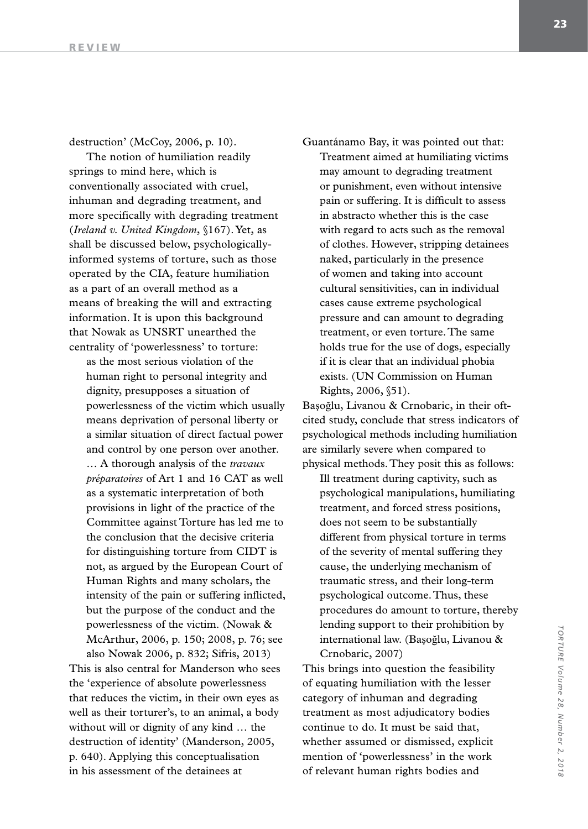destruction' (McCoy, 2006, p. 10).

The notion of humiliation readily springs to mind here, which is conventionally associated with cruel, inhuman and degrading treatment, and more specifically with degrading treatment (*Ireland v. United Kingdom*, §167). Yet, as shall be discussed below, psychologicallyinformed systems of torture, such as those operated by the CIA, feature humiliation as a part of an overall method as a means of breaking the will and extracting information. It is upon this background that Nowak as UNSRT unearthed the centrality of 'powerlessness' to torture:

as the most serious violation of the human right to personal integrity and dignity, presupposes a situation of powerlessness of the victim which usually means deprivation of personal liberty or a similar situation of direct factual power and control by one person over another. … A thorough analysis of the *travaux préparatoires* of Art 1 and 16 CAT as well as a systematic interpretation of both provisions in light of the practice of the Committee against Torture has led me to the conclusion that the decisive criteria for distinguishing torture from CIDT is not, as argued by the European Court of Human Rights and many scholars, the intensity of the pain or suffering inflicted, but the purpose of the conduct and the powerlessness of the victim. (Nowak & McArthur, 2006, p. 150; 2008, p. 76; see also Nowak 2006, p. 832; Sifris, 2013)

This is also central for Manderson who sees the 'experience of absolute powerlessness that reduces the victim, in their own eyes as well as their torturer's, to an animal, a body without will or dignity of any kind … the destruction of identity' (Manderson, 2005, p. 640). Applying this conceptualisation in his assessment of the detainees at

Guantánamo Bay, it was pointed out that: Treatment aimed at humiliating victims may amount to degrading treatment or punishment, even without intensive pain or suffering. It is difficult to assess in abstracto whether this is the case with regard to acts such as the removal of clothes. However, stripping detainees naked, particularly in the presence of women and taking into account cultural sensitivities, can in individual cases cause extreme psychological pressure and can amount to degrading treatment, or even torture. The same holds true for the use of dogs, especially if it is clear that an individual phobia exists. (UN Commission on Human Rights, 2006, §51).

Başoğlu, Livanou & Crnobaric, in their oftcited study, conclude that stress indicators of psychological methods including humiliation are similarly severe when compared to physical methods. They posit this as follows:

Ill treatment during captivity, such as psychological manipulations, humiliating treatment, and forced stress positions, does not seem to be substantially different from physical torture in terms of the severity of mental suffering they cause, the underlying mechanism of traumatic stress, and their long-term psychological outcome. Thus, these procedures do amount to torture, thereby lending support to their prohibition by international law. (Başoğlu, Livanou & Crnobaric, 2007)

This brings into question the feasibility of equating humiliation with the lesser category of inhuman and degrading treatment as most adjudicatory bodies continue to do. It must be said that, whether assumed or dismissed, explicit mention of 'powerlessness' in the work of relevant human rights bodies and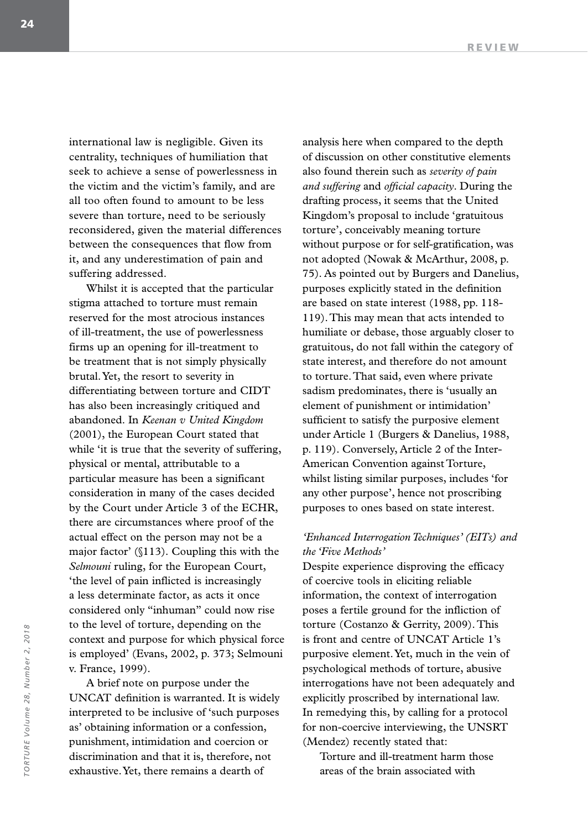international law is negligible. Given its centrality, techniques of humiliation that seek to achieve a sense of powerlessness in the victim and the victim's family, and are all too often found to amount to be less severe than torture, need to be seriously reconsidered, given the material differences between the consequences that flow from it, and any underestimation of pain and suffering addressed.

Whilst it is accepted that the particular stigma attached to torture must remain reserved for the most atrocious instances of ill-treatment, the use of powerlessness firms up an opening for ill-treatment to be treatment that is not simply physically brutal. Yet, the resort to severity in differentiating between torture and CIDT has also been increasingly critiqued and abandoned. In *Keenan v United Kingdom*  (2001), the European Court stated that while 'it is true that the severity of suffering, physical or mental, attributable to a particular measure has been a significant consideration in many of the cases decided by the Court under Article 3 of the ECHR, there are circumstances where proof of the actual effect on the person may not be a major factor' (§113). Coupling this with the *Selmouni* ruling, for the European Court, 'the level of pain inflicted is increasingly a less determinate factor, as acts it once considered only "inhuman" could now rise to the level of torture, depending on the context and purpose for which physical force is employed' (Evans, 2002, p. 373; Selmouni v. France, 1999).

A brief note on purpose under the UNCAT definition is warranted. It is widely interpreted to be inclusive of 'such purposes as' obtaining information or a confession, punishment, intimidation and coercion or discrimination and that it is, therefore, not exhaustive. Yet, there remains a dearth of

analysis here when compared to the depth of discussion on other constitutive elements also found therein such as *severity of pain and suffering* and *official capacity*. During the drafting process, it seems that the United Kingdom's proposal to include 'gratuitous torture', conceivably meaning torture without purpose or for self-gratification, was not adopted (Nowak & McArthur, 2008, p. 75). As pointed out by Burgers and Danelius, purposes explicitly stated in the definition are based on state interest (1988, pp. 118- 119). This may mean that acts intended to humiliate or debase, those arguably closer to gratuitous, do not fall within the category of state interest, and therefore do not amount to torture. That said, even where private sadism predominates, there is 'usually an element of punishment or intimidation' sufficient to satisfy the purposive element under Article 1 (Burgers & Danelius, 1988, p. 119). Conversely, Article 2 of the Inter-American Convention against Torture, whilst listing similar purposes, includes 'for any other purpose', hence not proscribing purposes to ones based on state interest.

#### *'Enhanced Interrogation Techniques' (EITs) and the 'Five Methods'*

Despite experience disproving the efficacy of coercive tools in eliciting reliable information, the context of interrogation poses a fertile ground for the infliction of torture (Costanzo & Gerrity, 2009). This is front and centre of UNCAT Article 1's purposive element. Yet, much in the vein of psychological methods of torture, abusive interrogations have not been adequately and explicitly proscribed by international law. In remedying this, by calling for a protocol for non-coercive interviewing, the UNSRT (Mendez) recently stated that:

Torture and ill-treatment harm those areas of the brain associated with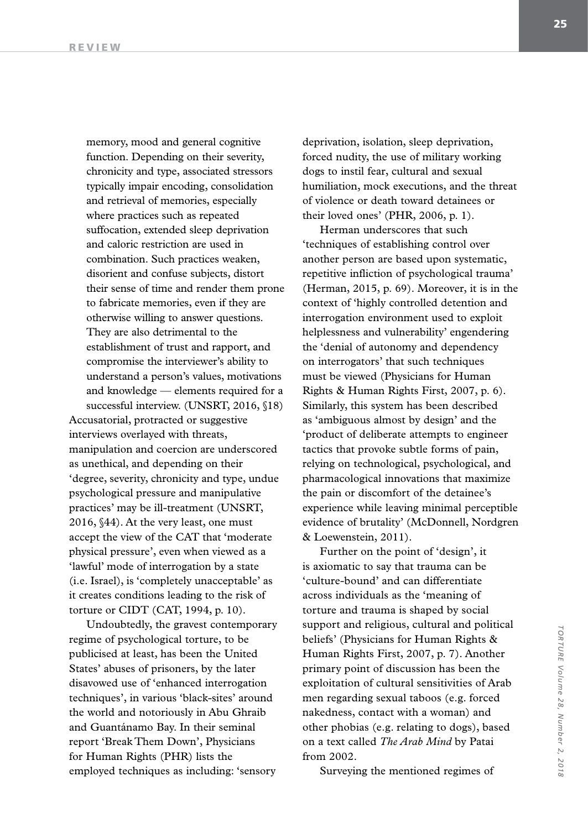memory, mood and general cognitive function. Depending on their severity, chronicity and type, associated stressors typically impair encoding, consolidation and retrieval of memories, especially where practices such as repeated suffocation, extended sleep deprivation and caloric restriction are used in combination. Such practices weaken, disorient and confuse subjects, distort their sense of time and render them prone to fabricate memories, even if they are otherwise willing to answer questions. They are also detrimental to the establishment of trust and rapport, and compromise the interviewer's ability to understand a person's values, motivations and knowledge — elements required for a successful interview. (UNSRT, 2016, §18)

Accusatorial, protracted or suggestive interviews overlayed with threats, manipulation and coercion are underscored as unethical, and depending on their 'degree, severity, chronicity and type, undue psychological pressure and manipulative practices' may be ill-treatment (UNSRT, 2016, §44). At the very least, one must accept the view of the CAT that 'moderate physical pressure', even when viewed as a 'lawful' mode of interrogation by a state (i.e. Israel), is 'completely unacceptable' as it creates conditions leading to the risk of torture or CIDT (CAT, 1994, p. 10).

Undoubtedly, the gravest contemporary regime of psychological torture, to be publicised at least, has been the United States' abuses of prisoners, by the later disavowed use of 'enhanced interrogation techniques', in various 'black-sites' around the world and notoriously in Abu Ghraib and Guantánamo Bay. In their seminal report 'Break Them Down', Physicians for Human Rights (PHR) lists the employed techniques as including: 'sensory

deprivation, isolation, sleep deprivation, forced nudity, the use of military working dogs to instil fear, cultural and sexual humiliation, mock executions, and the threat of violence or death toward detainees or their loved ones' (PHR, 2006, p. 1).

Herman underscores that such 'techniques of establishing control over another person are based upon systematic, repetitive infliction of psychological trauma' (Herman, 2015, p. 69). Moreover, it is in the context of 'highly controlled detention and interrogation environment used to exploit helplessness and vulnerability' engendering the 'denial of autonomy and dependency on interrogators' that such techniques must be viewed (Physicians for Human Rights & Human Rights First, 2007, p. 6). Similarly, this system has been described as 'ambiguous almost by design' and the 'product of deliberate attempts to engineer tactics that provoke subtle forms of pain, relying on technological, psychological, and pharmacological innovations that maximize the pain or discomfort of the detainee's experience while leaving minimal perceptible evidence of brutality' (McDonnell, Nordgren & Loewenstein, 2011).

Further on the point of 'design', it is axiomatic to say that trauma can be 'culture-bound' and can differentiate across individuals as the 'meaning of torture and trauma is shaped by social support and religious, cultural and political beliefs' (Physicians for Human Rights & Human Rights First, 2007, p. 7). Another primary point of discussion has been the exploitation of cultural sensitivities of Arab men regarding sexual taboos (e.g. forced nakedness, contact with a woman) and other phobias (e.g. relating to dogs), based on a text called *The Arab Mind* by Patai from 2002.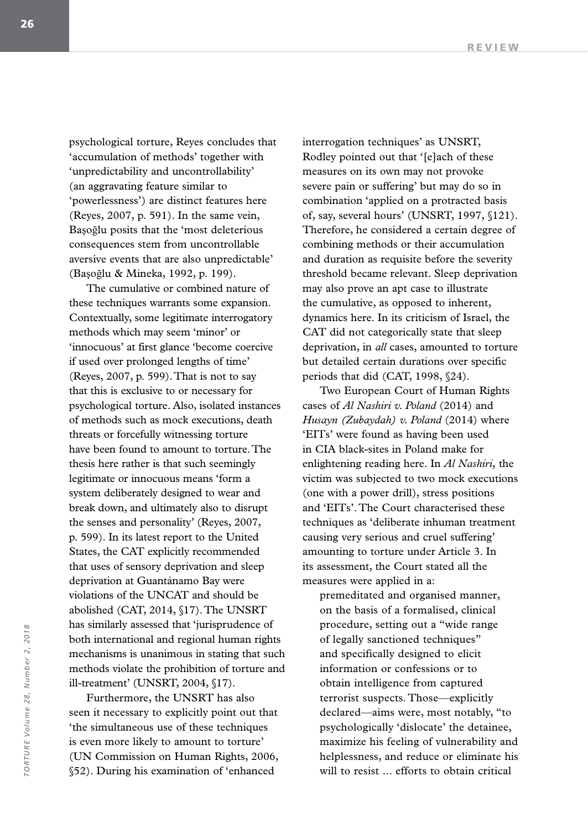psychological torture, Reyes concludes that 'accumulation of methods' together with 'unpredictability and uncontrollability' (an aggravating feature similar to 'powerlessness') are distinct features here (Reyes, 2007, p. 591). In the same vein, Başoğlu posits that the 'most deleterious consequences stem from uncontrollable aversive events that are also unpredictable' (Başoğlu & Mineka, 1992, p. 199).

The cumulative or combined nature of these techniques warrants some expansion. Contextually, some legitimate interrogatory methods which may seem 'minor' or 'innocuous' at first glance 'become coercive if used over prolonged lengths of time' (Reyes, 2007, p. 599). That is not to say that this is exclusive to or necessary for psychological torture. Also, isolated instances of methods such as mock executions, death threats or forcefully witnessing torture have been found to amount to torture. The thesis here rather is that such seemingly legitimate or innocuous means 'form a system deliberately designed to wear and break down, and ultimately also to disrupt the senses and personality' (Reyes, 2007, p. 599). In its latest report to the United States, the CAT explicitly recommended that uses of sensory deprivation and sleep deprivation at Guantánamo Bay were violations of the UNCAT and should be abolished (CAT, 2014, §17). The UNSRT has similarly assessed that 'jurisprudence of both international and regional human rights mechanisms is unanimous in stating that such methods violate the prohibition of torture and ill-treatment' (UNSRT, 2004, §17).

Furthermore, the UNSRT has also seen it necessary to explicitly point out that 'the simultaneous use of these techniques is even more likely to amount to torture' (UN Commission on Human Rights, 2006, §52). During his examination of 'enhanced

interrogation techniques' as UNSRT, Rodley pointed out that '[e]ach of these measures on its own may not provoke severe pain or suffering' but may do so in combination 'applied on a protracted basis of, say, several hours' (UNSRT, 1997, §121). Therefore, he considered a certain degree of combining methods or their accumulation and duration as requisite before the severity threshold became relevant. Sleep deprivation may also prove an apt case to illustrate the cumulative, as opposed to inherent, dynamics here. In its criticism of Israel, the CAT did not categorically state that sleep deprivation, in *all* cases, amounted to torture but detailed certain durations over specific periods that did (CAT, 1998, §24).

Two European Court of Human Rights cases of *Al Nashiri v. Poland* (2014) and *Husayn (Zubaydah) v. Poland* (2014) where 'EITs' were found as having been used in CIA black-sites in Poland make for enlightening reading here. In *Al Nashiri*, the victim was subjected to two mock executions (one with a power drill), stress positions and 'EITs'. The Court characterised these techniques as 'deliberate inhuman treatment causing very serious and cruel suffering' amounting to torture under Article 3. In its assessment, the Court stated all the measures were applied in a:

premeditated and organised manner, on the basis of a formalised, clinical procedure, setting out a "wide range of legally sanctioned techniques" and specifically designed to elicit information or confessions or to obtain intelligence from captured terrorist suspects. Those—explicitly declared—aims were, most notably, "to psychologically 'dislocate' the detainee, maximize his feeling of vulnerability and helplessness, and reduce or eliminate his will to resist ... efforts to obtain critical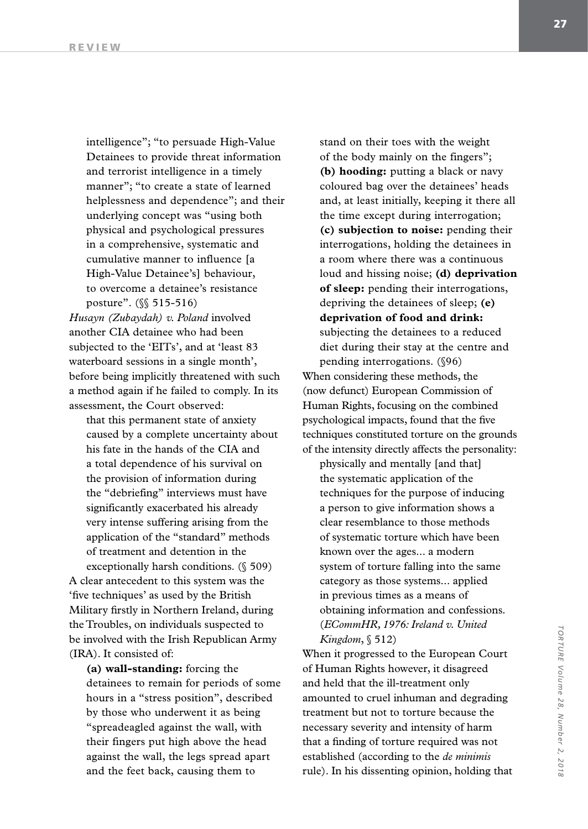intelligence"; "to persuade High-Value Detainees to provide threat information and terrorist intelligence in a timely manner"; "to create a state of learned helplessness and dependence"; and their underlying concept was "using both physical and psychological pressures in a comprehensive, systematic and cumulative manner to influence [a High-Value Detainee's] behaviour, to overcome a detainee's resistance posture". (§§ 515-516)

*Husayn (Zubaydah) v. Poland* involved another CIA detainee who had been subjected to the 'EITs', and at 'least 83 waterboard sessions in a single month', before being implicitly threatened with such a method again if he failed to comply. In its assessment, the Court observed:

that this permanent state of anxiety caused by a complete uncertainty about his fate in the hands of the CIA and a total dependence of his survival on the provision of information during the "debriefing" interviews must have significantly exacerbated his already very intense suffering arising from the application of the "standard" methods of treatment and detention in the exceptionally harsh conditions. (§ 509)

A clear antecedent to this system was the 'five techniques' as used by the British Military firstly in Northern Ireland, during the Troubles, on individuals suspected to be involved with the Irish Republican Army (IRA). It consisted of:

**(a) wall-standing:** forcing the detainees to remain for periods of some hours in a "stress position", described by those who underwent it as being "spreadeagled against the wall, with their fingers put high above the head against the wall, the legs spread apart and the feet back, causing them to

stand on their toes with the weight of the body mainly on the fingers"; **(b) hooding:** putting a black or navy coloured bag over the detainees' heads and, at least initially, keeping it there all the time except during interrogation; **(c) subjection to noise:** pending their interrogations, holding the detainees in a room where there was a continuous loud and hissing noise; **(d) deprivation of sleep:** pending their interrogations, depriving the detainees of sleep; **(e) deprivation of food and drink:** subjecting the detainees to a reduced diet during their stay at the centre and pending interrogations. (§96) When considering these methods, the

(now defunct) European Commission of Human Rights, focusing on the combined psychological impacts, found that the five techniques constituted torture on the grounds of the intensity directly affects the personality:

physically and mentally [and that] the systematic application of the techniques for the purpose of inducing a person to give information shows a clear resemblance to those methods of systematic torture which have been known over the ages... a modern system of torture falling into the same category as those systems... applied in previous times as a means of obtaining information and confessions. (*ECommHR, 1976: Ireland v. United Kingdom*, § 512)

When it progressed to the European Court of Human Rights however, it disagreed and held that the ill-treatment only amounted to cruel inhuman and degrading treatment but not to torture because the necessary severity and intensity of harm that a finding of torture required was not established (according to the *de minimis* rule). In his dissenting opinion, holding that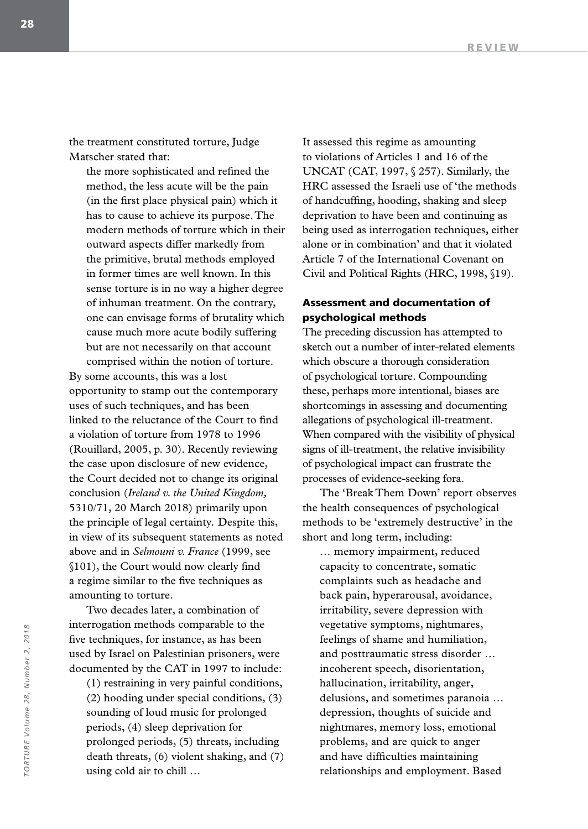the treatment constituted torture, Judge Matscher stated that:

the more sophisticated and refined the method, the less acute will be the pain (in the first place physical pain) which it has to cause to achieve its purpose. The modern methods of torture which in their outward aspects differ markedly from the primitive, brutal methods employed in former times are well known. In this sense torture is in no way a higher degree of inhuman treatment. On the contrary, one can envisage forms of brutality which cause much more acute bodily suffering but are not necessarily on that account comprised within the notion of torture.

By some accounts, this was a lost opportunity to stamp out the contemporary uses of such techniques, and has been linked to the reluctance of the Court to find a violation of torture from 1978 to 1996 (Rouillard, 2005, p. 30). Recently reviewing the case upon disclosure of new evidence, the Court decided not to change its original conclusion (*Ireland v. the United Kingdom,*  5310/71, 20 March 2018) primarily upon the principle of legal certainty*.* Despite this, in view of its subsequent statements as noted above and in *Selmouni v. France* (1999, see §101), the Court would now clearly find a regime similar to the five techniques as amounting to torture.

Two decades later, a combination of interrogation methods comparable to the five techniques, for instance, as has been used by Israel on Palestinian prisoners, were documented by the CAT in 1997 to include:

(1) restraining in very painful conditions, (2) hooding under special conditions, (3) sounding of loud music for prolonged periods, (4) sleep deprivation for prolonged periods, (5) threats, including death threats, (6) violent shaking, and (7) using cold air to chill …

It assessed this regime as amounting to violations of Articles 1 and 16 of the UNCAT (CAT, 1997, § 257). Similarly, the HRC assessed the Israeli use of 'the methods of handcuffing, hooding, shaking and sleep deprivation to have been and continuing as being used as interrogation techniques, either alone or in combination' and that it violated Article 7 of the International Covenant on Civil and Political Rights (HRC, 1998, §19).

## Assessment and documentation of psychological methods

The preceding discussion has attempted to sketch out a number of inter-related elements which obscure a thorough consideration of psychological torture. Compounding these, perhaps more intentional, biases are shortcomings in assessing and documenting allegations of psychological ill-treatment. When compared with the visibility of physical signs of ill-treatment, the relative invisibility of psychological impact can frustrate the processes of evidence-seeking fora.

The 'Break Them Down' report observes the health consequences of psychological methods to be 'extremely destructive' in the short and long term, including:

… memory impairment, reduced capacity to concentrate, somatic complaints such as headache and back pain, hyperarousal, avoidance, irritability, severe depression with vegetative symptoms, nightmares, feelings of shame and humiliation, and posttraumatic stress disorder … incoherent speech, disorientation, hallucination, irritability, anger, delusions, and sometimes paranoia … depression, thoughts of suicide and nightmares, memory loss, emotional problems, and are quick to anger and have difficulties maintaining relationships and employment. Based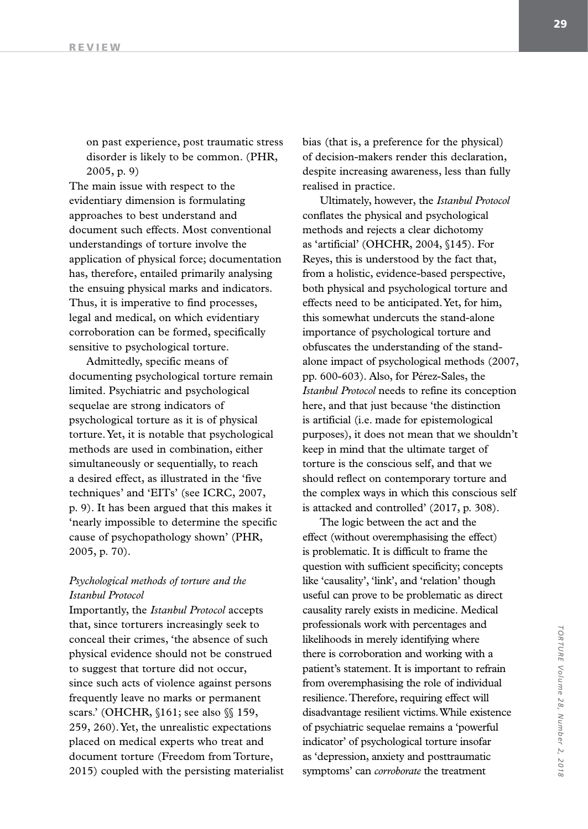on past experience, post traumatic stress disorder is likely to be common. (PHR, 2005, p. 9)

The main issue with respect to the evidentiary dimension is formulating approaches to best understand and document such effects. Most conventional understandings of torture involve the application of physical force; documentation has, therefore, entailed primarily analysing the ensuing physical marks and indicators. Thus, it is imperative to find processes, legal and medical, on which evidentiary corroboration can be formed, specifically sensitive to psychological torture.

Admittedly, specific means of documenting psychological torture remain limited. Psychiatric and psychological sequelae are strong indicators of psychological torture as it is of physical torture. Yet, it is notable that psychological methods are used in combination, either simultaneously or sequentially, to reach a desired effect, as illustrated in the 'five techniques' and 'EITs' (see ICRC, 2007, p. 9). It has been argued that this makes it 'nearly impossible to determine the specific cause of psychopathology shown' (PHR, 2005, p. 70).

### *Psychological methods of torture and the Istanbul Protocol*

Importantly, the *Istanbul Protocol* accepts that, since torturers increasingly seek to conceal their crimes, 'the absence of such physical evidence should not be construed to suggest that torture did not occur, since such acts of violence against persons frequently leave no marks or permanent scars.' (OHCHR, §161; see also §§ 159, 259, 260). Yet, the unrealistic expectations placed on medical experts who treat and document torture (Freedom from Torture, 2015) coupled with the persisting materialist bias (that is, a preference for the physical) of decision-makers render this declaration, despite increasing awareness, less than fully realised in practice.

Ultimately, however, the *Istanbul Protocol* conflates the physical and psychological methods and rejects a clear dichotomy as 'artificial' (OHCHR, 2004, §145). For Reyes, this is understood by the fact that, from a holistic, evidence-based perspective, both physical and psychological torture and effects need to be anticipated. Yet, for him, this somewhat undercuts the stand-alone importance of psychological torture and obfuscates the understanding of the standalone impact of psychological methods (2007, pp. 600-603). Also, for Pérez-Sales, the *Istanbul Protocol* needs to refine its conception here, and that just because 'the distinction is artificial (i.e. made for epistemological purposes), it does not mean that we shouldn't keep in mind that the ultimate target of torture is the conscious self, and that we should reflect on contemporary torture and the complex ways in which this conscious self is attacked and controlled' (2017, p. 308).

The logic between the act and the effect (without overemphasising the effect) is problematic. It is difficult to frame the question with sufficient specificity; concepts like 'causality', 'link', and 'relation' though useful can prove to be problematic as direct causality rarely exists in medicine. Medical professionals work with percentages and likelihoods in merely identifying where there is corroboration and working with a patient's statement. It is important to refrain from overemphasising the role of individual resilience. Therefore, requiring effect will disadvantage resilient victims. While existence of psychiatric sequelae remains a 'powerful indicator' of psychological torture insofar as 'depression, anxiety and posttraumatic symptoms' can *corroborate* the treatment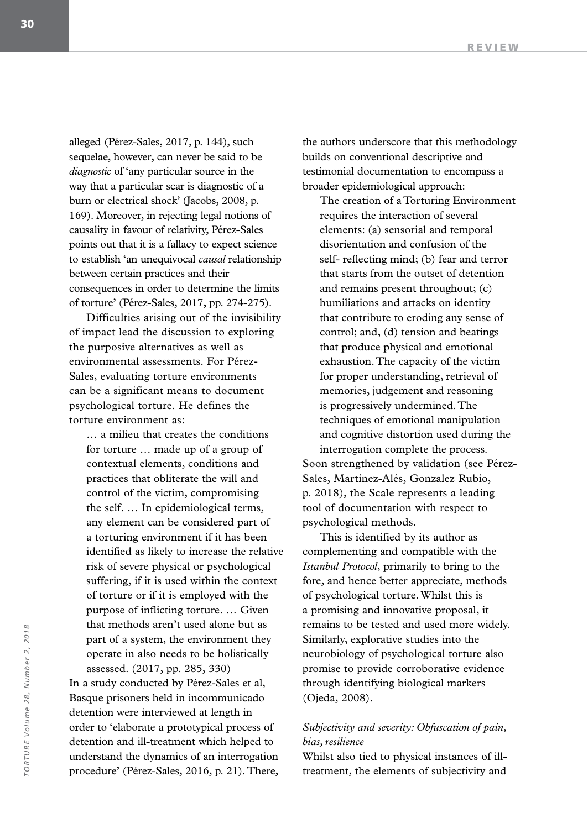alleged (Pérez-Sales, 2017, p. 144), such sequelae, however, can never be said to be *diagnostic* of 'any particular source in the way that a particular scar is diagnostic of a burn or electrical shock' (Jacobs, 2008, p. 169). Moreover, in rejecting legal notions of causality in favour of relativity, Pérez-Sales points out that it is a fallacy to expect science to establish 'an unequivocal *causal* relationship between certain practices and their consequences in order to determine the limits of torture' (Pérez-Sales, 2017, pp. 274-275).

Difficulties arising out of the invisibility of impact lead the discussion to exploring the purposive alternatives as well as environmental assessments. For Pérez-Sales, evaluating torture environments can be a significant means to document psychological torture. He defines the torture environment as:

… a milieu that creates the conditions for torture … made up of a group of contextual elements, conditions and practices that obliterate the will and control of the victim, compromising the self. … In epidemiological terms, any element can be considered part of a torturing environment if it has been identified as likely to increase the relative risk of severe physical or psychological suffering, if it is used within the context of torture or if it is employed with the purpose of inflicting torture. … Given that methods aren't used alone but as part of a system, the environment they operate in also needs to be holistically assessed. (2017, pp. 285, 330) In a study conducted by Pérez-Sales et al,

Basque prisoners held in incommunicado detention were interviewed at length in order to 'elaborate a prototypical process of detention and ill-treatment which helped to understand the dynamics of an interrogation procedure' (Pérez-Sales, 2016, p. 21). There,

the authors underscore that this methodology builds on conventional descriptive and testimonial documentation to encompass a broader epidemiological approach:

The creation of a Torturing Environment requires the interaction of several elements: (a) sensorial and temporal disorientation and confusion of the self- reflecting mind; (b) fear and terror that starts from the outset of detention and remains present throughout; (c) humiliations and attacks on identity that contribute to eroding any sense of control; and, (d) tension and beatings that produce physical and emotional exhaustion. The capacity of the victim for proper understanding, retrieval of memories, judgement and reasoning is progressively undermined. The techniques of emotional manipulation and cognitive distortion used during the interrogation complete the process.

Soon strengthened by validation (see Pérez-Sales, Martínez-Alés, Gonzalez Rubio, p. 2018), the Scale represents a leading tool of documentation with respect to psychological methods.

This is identified by its author as complementing and compatible with the *Istanbul Protocol*, primarily to bring to the fore, and hence better appreciate, methods of psychological torture. Whilst this is a promising and innovative proposal, it remains to be tested and used more widely. Similarly, explorative studies into the neurobiology of psychological torture also promise to provide corroborative evidence through identifying biological markers (Ojeda, 2008).

## *Subjectivity and severity: Obfuscation of pain, bias, resilience*

Whilst also tied to physical instances of illtreatment, the elements of subjectivity and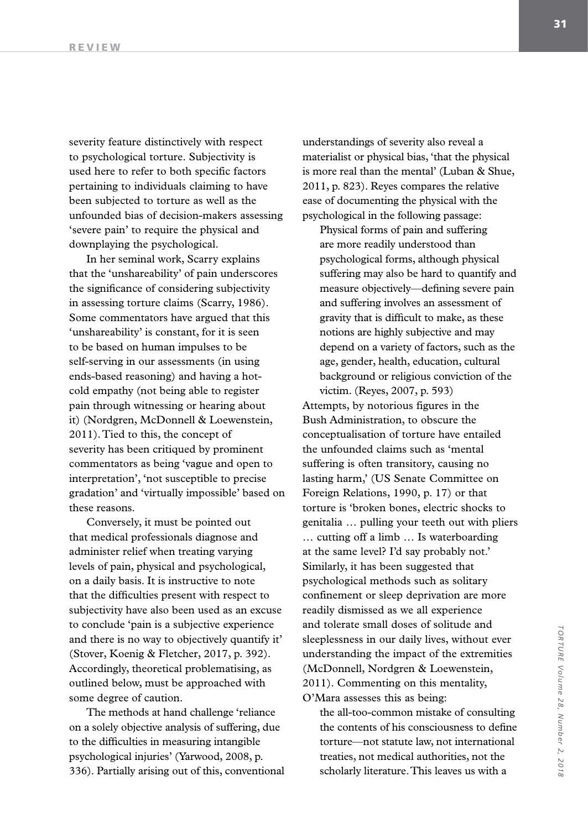severity feature distinctively with respect to psychological torture. Subjectivity is used here to refer to both specific factors pertaining to individuals claiming to have been subjected to torture as well as the unfounded bias of decision-makers assessing 'severe pain' to require the physical and downplaying the psychological.

In her seminal work, Scarry explains that the 'unshareability' of pain underscores the significance of considering subjectivity in assessing torture claims (Scarry, 1986). Some commentators have argued that this 'unshareability' is constant, for it is seen to be based on human impulses to be self-serving in our assessments (in using ends-based reasoning) and having a hotcold empathy (not being able to register pain through witnessing or hearing about it) (Nordgren, McDonnell & Loewenstein, 2011). Tied to this, the concept of severity has been critiqued by prominent commentators as being 'vague and open to interpretation', 'not susceptible to precise gradation' and 'virtually impossible' based on these reasons.

Conversely, it must be pointed out that medical professionals diagnose and administer relief when treating varying levels of pain, physical and psychological, on a daily basis. It is instructive to note that the difficulties present with respect to subjectivity have also been used as an excuse to conclude 'pain is a subjective experience and there is no way to objectively quantify it' (Stover, Koenig & Fletcher, 2017, p. 392). Accordingly, theoretical problematising, as outlined below, must be approached with some degree of caution.

The methods at hand challenge 'reliance on a solely objective analysis of suffering, due to the difficulties in measuring intangible psychological injuries' (Yarwood, 2008, p. 336). Partially arising out of this, conventional

understandings of severity also reveal a materialist or physical bias, 'that the physical is more real than the mental' (Luban & Shue, 2011, p. 823). Reyes compares the relative ease of documenting the physical with the psychological in the following passage:

Physical forms of pain and suffering are more readily understood than psychological forms, although physical suffering may also be hard to quantify and measure objectively—defining severe pain and suffering involves an assessment of gravity that is difficult to make, as these notions are highly subjective and may depend on a variety of factors, such as the age, gender, health, education, cultural background or religious conviction of the victim. (Reyes, 2007, p. 593)

Attempts, by notorious figures in the Bush Administration, to obscure the conceptualisation of torture have entailed the unfounded claims such as 'mental suffering is often transitory, causing no lasting harm,' (US Senate Committee on Foreign Relations, 1990, p. 17) or that torture is 'broken bones, electric shocks to genitalia … pulling your teeth out with pliers … cutting off a limb … Is waterboarding at the same level? I'd say probably not.' Similarly, it has been suggested that psychological methods such as solitary confinement or sleep deprivation are more readily dismissed as we all experience and tolerate small doses of solitude and sleeplessness in our daily lives, without ever understanding the impact of the extremities (McDonnell, Nordgren & Loewenstein, 2011). Commenting on this mentality, O'Mara assesses this as being:

the all-too-common mistake of consulting the contents of his consciousness to define torture—not statute law, not international treaties, not medical authorities, not the scholarly literature. This leaves us with a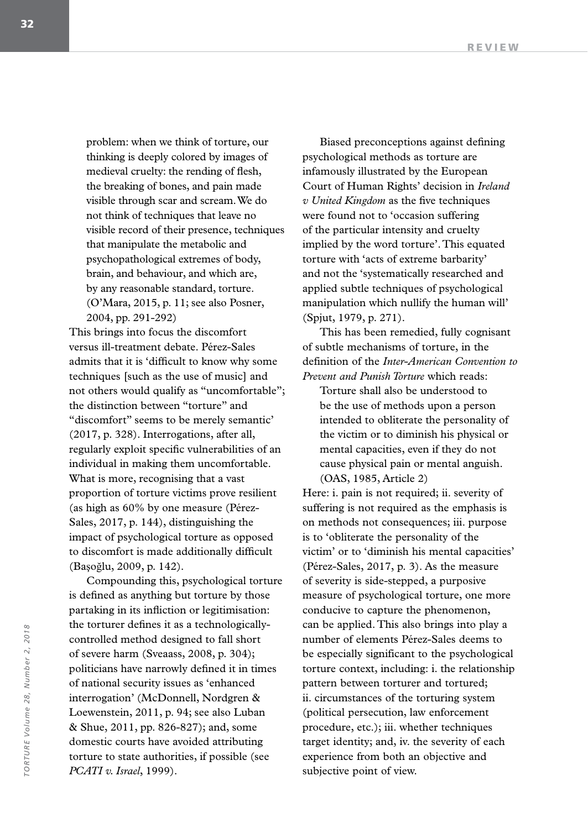problem: when we think of torture, our thinking is deeply colored by images of medieval cruelty: the rending of flesh, the breaking of bones, and pain made visible through scar and scream. We do not think of techniques that leave no visible record of their presence, techniques that manipulate the metabolic and psychopathological extremes of body, brain, and behaviour, and which are, by any reasonable standard, torture. (O'Mara, 2015, p. 11; see also Posner, 2004, pp. 291-292)

This brings into focus the discomfort versus ill-treatment debate. Pérez-Sales admits that it is 'difficult to know why some techniques [such as the use of music] and not others would qualify as "uncomfortable"; the distinction between "torture" and "discomfort" seems to be merely semantic' (2017, p. 328). Interrogations, after all, regularly exploit specific vulnerabilities of an individual in making them uncomfortable. What is more, recognising that a vast proportion of torture victims prove resilient (as high as 60% by one measure (Pérez-Sales, 2017, p. 144), distinguishing the impact of psychological torture as opposed to discomfort is made additionally difficult (Başoğlu, 2009, p. 142).

Compounding this, psychological torture is defined as anything but torture by those partaking in its infliction or legitimisation: the torturer defines it as a technologicallycontrolled method designed to fall short of severe harm (Sveaass, 2008, p. 304); politicians have narrowly defined it in times of national security issues as 'enhanced interrogation' (McDonnell, Nordgren & Loewenstein, 2011, p. 94; see also Luban & Shue, 2011, pp. 826-827); and, some domestic courts have avoided attributing torture to state authorities, if possible (see *PCATI v. Israel*, 1999).

Biased preconceptions against defining psychological methods as torture are infamously illustrated by the European Court of Human Rights' decision in *Ireland v United Kingdom* as the five techniques were found not to 'occasion suffering of the particular intensity and cruelty implied by the word torture'. This equated torture with 'acts of extreme barbarity' and not the 'systematically researched and applied subtle techniques of psychological manipulation which nullify the human will' (Spjut, 1979, p. 271).

This has been remedied, fully cognisant of subtle mechanisms of torture, in the definition of the *Inter-American Convention to Prevent and Punish Torture* which reads:

Torture shall also be understood to be the use of methods upon a person intended to obliterate the personality of the victim or to diminish his physical or mental capacities, even if they do not cause physical pain or mental anguish. (OAS, 1985, Article 2)

Here: i. pain is not required; ii. severity of suffering is not required as the emphasis is on methods not consequences; iii. purpose is to 'obliterate the personality of the victim' or to 'diminish his mental capacities' (Pérez-Sales, 2017, p. 3). As the measure of severity is side-stepped, a purposive measure of psychological torture, one more conducive to capture the phenomenon, can be applied. This also brings into play a number of elements Pérez-Sales deems to be especially significant to the psychological torture context, including: i. the relationship pattern between torturer and tortured; ii. circumstances of the torturing system (political persecution, law enforcement procedure, etc.); iii. whether techniques target identity; and, iv. the severity of each experience from both an objective and subjective point of view.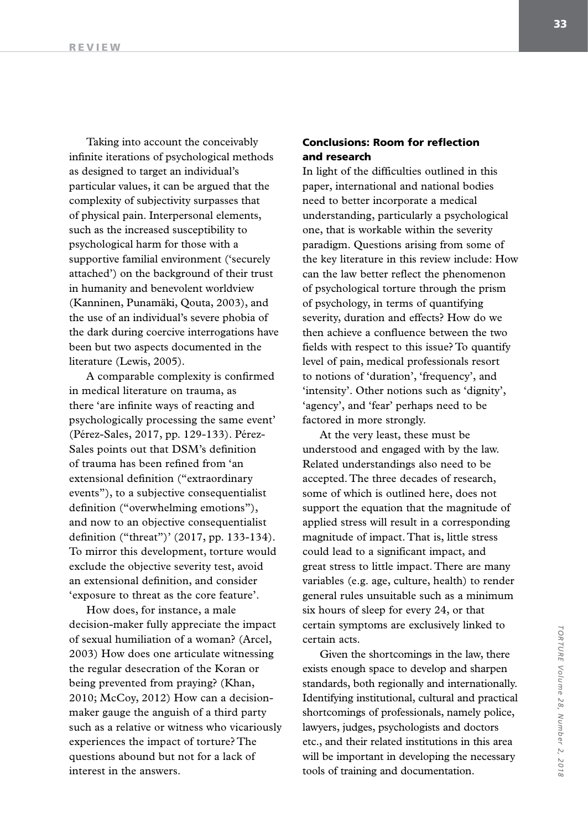Taking into account the conceivably infinite iterations of psychological methods as designed to target an individual's particular values, it can be argued that the complexity of subjectivity surpasses that of physical pain. Interpersonal elements, such as the increased susceptibility to psychological harm for those with a supportive familial environment ('securely attached') on the background of their trust in humanity and benevolent worldview (Kanninen, Punamäki, Qouta, 2003), and the use of an individual's severe phobia of the dark during coercive interrogations have been but two aspects documented in the literature (Lewis, 2005).

A comparable complexity is confirmed in medical literature on trauma, as there 'are infinite ways of reacting and psychologically processing the same event' (Pérez-Sales, 2017, pp. 129-133). Pérez-Sales points out that DSM's definition of trauma has been refined from 'an extensional definition ("extraordinary events"), to a subjective consequentialist definition ("overwhelming emotions"), and now to an objective consequentialist definition ("threat")' (2017, pp. 133-134). To mirror this development, torture would exclude the objective severity test, avoid an extensional definition, and consider 'exposure to threat as the core feature'.

How does, for instance, a male decision-maker fully appreciate the impact of sexual humiliation of a woman? (Arcel, 2003) How does one articulate witnessing the regular desecration of the Koran or being prevented from praying? (Khan, 2010; McCoy, 2012) How can a decisionmaker gauge the anguish of a third party such as a relative or witness who vicariously experiences the impact of torture? The questions abound but not for a lack of interest in the answers.

## Conclusions: Room for reflection and research

In light of the difficulties outlined in this paper, international and national bodies need to better incorporate a medical understanding, particularly a psychological one, that is workable within the severity paradigm. Questions arising from some of the key literature in this review include: How can the law better reflect the phenomenon of psychological torture through the prism of psychology, in terms of quantifying severity, duration and effects? How do we then achieve a confluence between the two fields with respect to this issue? To quantify level of pain, medical professionals resort to notions of 'duration', 'frequency', and 'intensity'. Other notions such as 'dignity', 'agency', and 'fear' perhaps need to be factored in more strongly.

At the very least, these must be understood and engaged with by the law. Related understandings also need to be accepted. The three decades of research, some of which is outlined here, does not support the equation that the magnitude of applied stress will result in a corresponding magnitude of impact. That is, little stress could lead to a significant impact, and great stress to little impact. There are many variables (e.g. age, culture, health) to render general rules unsuitable such as a minimum six hours of sleep for every 24, or that certain symptoms are exclusively linked to certain acts.

Given the shortcomings in the law, there exists enough space to develop and sharpen standards, both regionally and internationally. Identifying institutional, cultural and practical shortcomings of professionals, namely police, lawyers, judges, psychologists and doctors etc., and their related institutions in this area will be important in developing the necessary tools of training and documentation.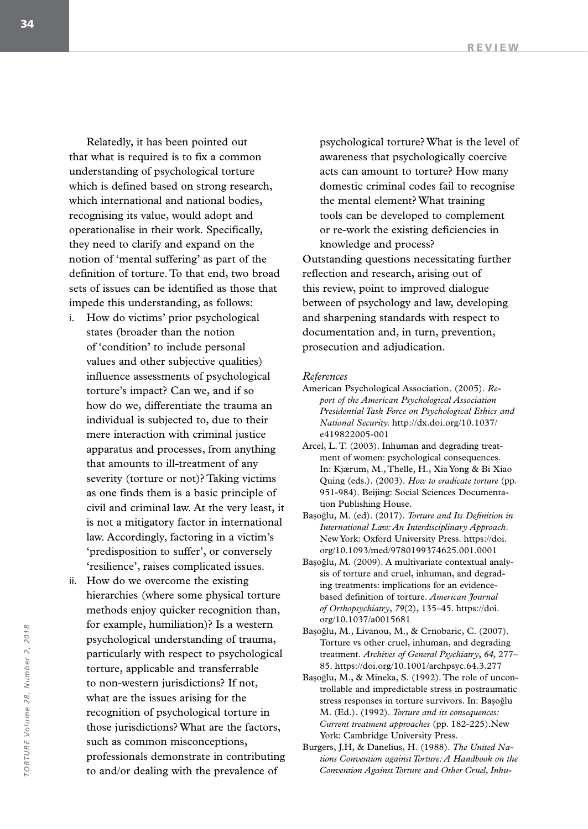Relatedly, it has been pointed out that what is required is to fix a common understanding of psychological torture which is defined based on strong research, which international and national bodies, recognising its value, would adopt and operationalise in their work. Specifically, they need to clarify and expand on the notion of 'mental suffering' as part of the definition of torture. To that end, two broad sets of issues can be identified as those that impede this understanding, as follows:

- i. How do victims' prior psychological states (broader than the notion of 'condition' to include personal values and other subjective qualities) influence assessments of psychological torture's impact? Can we, and if so how do we, differentiate the trauma an individual is subjected to, due to their mere interaction with criminal justice apparatus and processes, from anything that amounts to ill-treatment of any severity (torture or not)? Taking victims as one finds them is a basic principle of civil and criminal law. At the very least, it is not a mitigatory factor in international law. Accordingly, factoring in a victim's 'predisposition to suffer', or conversely 'resilience', raises complicated issues.
- ii. How do we overcome the existing hierarchies (where some physical torture methods enjoy quicker recognition than, for example, humiliation)? Is a western psychological understanding of trauma, particularly with respect to psychological torture, applicable and transferrable to non-western jurisdictions? If not, what are the issues arising for the recognition of psychological torture in those jurisdictions? What are the factors, such as common misconceptions, professionals demonstrate in contributing to and/or dealing with the prevalence of

psychological torture? What is the level of awareness that psychologically coercive acts can amount to torture? How many domestic criminal codes fail to recognise the mental element? What training tools can be developed to complement or re-work the existing deficiencies in knowledge and process? Outstanding questions necessitating further reflection and research, arising out of this review, point to improved dialogue between of psychology and law, developing and sharpening standards with respect to documentation and, in turn, prevention, prosecution and adjudication.

#### *References*

- American Psychological Association. (2005). *Report of the American Psychological Association Presidential Task Force on Psychological Ethics and National Security.* http://dx.doi.org/10.1037/ e419822005-001
- Arcel, L. T. (2003). Inhuman and degrading treatment of women: psychological consequences. In: Kjærum, M., Thelle, H., Xia Yong & Bi Xiao Quing (eds.). (2003). *How to eradicate torture* (pp. 951-984). Beijing: Social Sciences Documentation Publishing House.
- Başoğlu, M. (ed). (2017). *Torture and Its Definition in International Law: An Interdisciplinary Approach*. New York: Oxford University Press. https://doi. org/10.1093/med/9780199374625.001.0001
- Başoğlu, M. (2009). A multivariate contextual analysis of torture and cruel, inhuman, and degrading treatments: implications for an evidencebased definition of torture. *American Journal of Orthopsychiatry*, *79*(2), 135–45. https://doi. org/10.1037/a0015681
- Başoğlu, M., Livanou, M., & Crnobaric, C. (2007). Torture vs other cruel, inhuman, and degrading treatment. *Archives of General Psychiatry*, *64*, 277– 85. https://doi.org/10.1001/archpsyc.64.3.277
- Başoğlu, M., & Mineka, S. (1992). The role of uncontrollable and impredictable stress in postraumatic stress responses in torture survivors. In: Başoğlu M. (Ed.). (1992). *Torture and its consequences: Current treatment approaches* (pp. 182-225).New York: Cambridge University Press.
- Burgers, J.H, & Danelius, H. (1988). *The United Nations Convention against Torture: A Handbook on the Convention Against Torture and Other Cruel, Inhu-*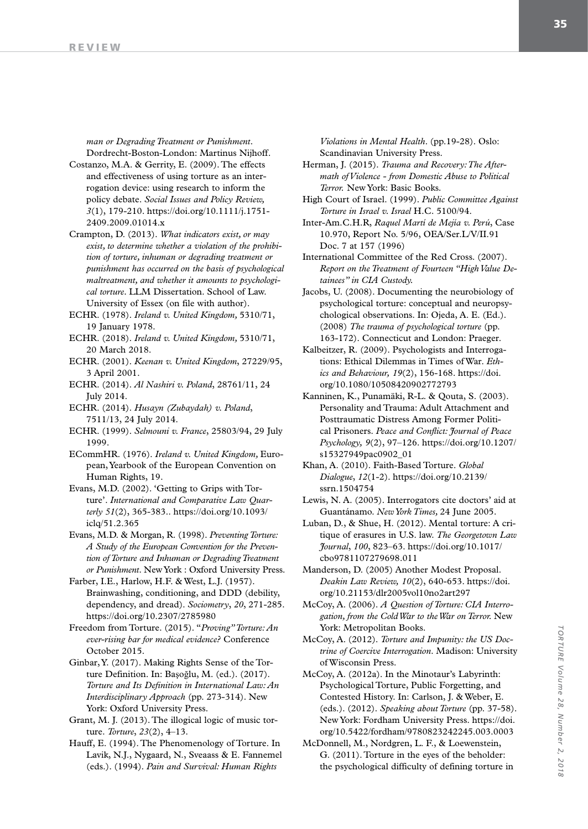*man or Degrading Treatment or Punishment*. Dordrecht-Boston-London: Martinus Nijhoff.

- Costanzo, M.A. & Gerrity, E. (2009). The effects and effectiveness of using torture as an interrogation device: using research to inform the policy debate. *Social Issues and Policy Review, 3*(1), 179-210. https://doi.org/10.1111/j.1751- 2409.2009.01014.x
- Crampton, D. (2013). *What indicators exist, or may exist, to determine whether a violation of the prohibition of torture, inhuman or degrading treatment or punishment has occurred on the basis of psychological maltreatment, and whether it amounts to psychological torture.* LLM Dissertation. School of Law. University of Essex (on file with author).
- ECHR. (1978). *Ireland v. United Kingdom,* 5310/71, 19 January 1978.
- ECHR. (2018). *Ireland v. United Kingdom,* 5310/71, 20 March 2018.
- ECHR. (2001). *Keenan v. United Kingdom*, 27229/95, 3 April 2001.
- ECHR. (2014). *Al Nashiri v. Poland*, 28761/11, 24 July 2014.
- ECHR. (2014). *Husayn (Zubaydah) v. Poland*, 7511/13, 24 July 2014.
- ECHR. (1999). *Selmouni v. France*, 25803/94, 29 July 1999.

ECommHR. (1976). *Ireland v. United Kingdom,* European, Yearbook of the European Convention on Human Rights, 19.

- Evans, M.D. (2002). 'Getting to Grips with Torture'. *International and Comparative Law Quarterly 51*(2), 365-383.. https://doi.org/10.1093/ iclq/51.2.365
- Evans, M.D. & Morgan, R. (1998). *Preventing Torture: A Study of the European Convention for the Prevention of Torture and Inhuman or Degrading Treatment or Punishment*. New York : Oxford University Press.

Farber, I.E., Harlow, H.F. & West, L.J. (1957). Brainwashing, conditioning, and DDD (debility, dependency, and dread). *Sociometry*, *20*, 271-285. https://doi.org/10.2307/2785980

- Freedom from Torture. (2015). "*Proving" Torture: An ever-rising bar for medical evidence?* Conference October 2015.
- Ginbar, Y. (2017). Making Rights Sense of the Torture Definition. In: Başoğlu, M. (ed.). (2017). *Torture and Its Definition in International Law: An Interdisciplinary Approach* (pp. 273-314). New York: Oxford University Press.
- Grant, M. J. (2013). The illogical logic of music torture. *Torture*, *23*(2), 4–13.
- Hauff, E. (1994). The Phenomenology of Torture. In Lavik, N.J., Nygaard, N., Sveaass & E. Fannemel (eds.). (1994). *Pain and Survival: Human Rights*

*Violations in Mental Health*. (pp.19-28). Oslo: Scandinavian University Press.

- Herman, J. (2015). *Trauma and Recovery: The Aftermath of Violence - from Domestic Abuse to Political Terror.* New York: Basic Books.
- High Court of Israel. (1999). *Public Committee Against Torture in Israel v. Israel* H.C. 5100/94.
- Inter-Am.C.H.R, *Raquel Martí de Mejía v. Perú*, Case 10.970, Report No. 5/96, OEA/Ser.L/V/II.91 Doc. 7 at 157 (1996)
- International Committee of the Red Cross. (2007). *Report on the Treatment of Fourteen "High Value Detainees" in CIA Custody.*
- Jacobs, U. (2008). Documenting the neurobiology of psychological torture: conceptual and neuropsychological observations. In: Ojeda, A. E. (Ed.). (2008) *The trauma of psychological torture* (pp. 163-172). Connecticut and London: Praeger.
- Kalbeitzer, R. (2009). Psychologists and Interrogations: Ethical Dilemmas in Times of War. *Ethics and Behaviour, 19*(2), 156-168. https://doi. org/10.1080/10508420902772793
- Kanninen, K., Punamäki, R-L. & Qouta, S. (2003). Personality and Trauma: Adult Attachment and Posttraumatic Distress Among Former Political Prisoners. *Peace and Conflict: Journal of Peace Psychology, 9*(2), 97–126. https://doi.org/10.1207/ s15327949pac0902\_01
- Khan, A. (2010). Faith-Based Torture. *Global Dialogue*, *12*(1-2). https://doi.org/10.2139/ ssrn.1504754
- Lewis, N. A. (2005). Interrogators cite doctors' aid at Guantánamo. *New York Times,* 24 June 2005.
- Luban, D., & Shue, H. (2012). Mental torture: A critique of erasures in U.S. law. *The Georgetown Law Journal*, *100*, 823–63. https://doi.org/10.1017/ cbo9781107279698.011
- Manderson, D. (2005) Another Modest Proposal. *Deakin Law Review, 10*(2), 640-653. https://doi. org/10.21153/dlr2005vol10no2art297
- McCoy, A. (2006). *A Question of Torture: CIA Interrogation, from the Cold War to the War on Terror.* New York: Metropolitan Books.
- McCoy, A. (2012). *Torture and Impunity: the US Doctrine of Coercive Interrogation*. Madison: University of Wisconsin Press.
- McCoy, A. (2012a). In the Minotaur's Labyrinth: Psychological Torture, Public Forgetting, and Contested History. In: Carlson, J. & Weber, E. (eds.). (2012). *Speaking about Torture* (pp. 37-58). New York: Fordham University Press. https://doi. org/10.5422/fordham/9780823242245.003.0003
- McDonnell, M., Nordgren, L. F., & Loewenstein, G. (2011). Torture in the eyes of the beholder: the psychological difficulty of defining torture in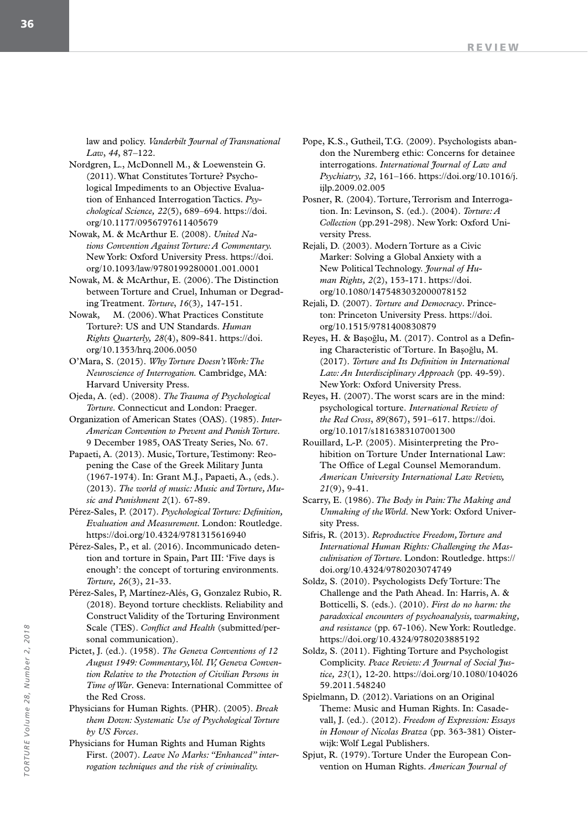law and policy. *Vanderbilt Journal of Transnational Law*, *44*, 87–122.

- Nordgren, L., McDonnell M., & Loewenstein G. (2011). What Constitutes Torture? Psychological Impediments to an Objective Evaluation of Enhanced Interrogation Tactics. *Psychological Science, 22*(5), 689–694. https://doi. org/10.1177/0956797611405679
- Nowak, M. & McArthur E. (2008). *United Nations Convention Against Torture: A Commentary.*  New York: Oxford University Press. https://doi. org/10.1093/law/9780199280001.001.0001

Nowak, M. & McArthur, E. (2006). The Distinction between Torture and Cruel, Inhuman or Degrading Treatment. *Torture*, *16*(3)*,* 147-151.

- Nowak, M. (2006). What Practices Constitute Torture?: US and UN Standards. *Human Rights Quarterly, 28*(4), 809-841. https://doi. org/10.1353/hrq.2006.0050
- O'Mara, S. (2015). *Why Torture Doesn't Work: The Neuroscience of Interrogation.* Cambridge, MA: Harvard University Press.
- Ojeda, A. (ed). (2008). *The Trauma of Psychological Torture.* Connecticut and London: Praeger.

Organization of American States (OAS). (1985). *Inter-American Convention to Prevent and Punish Torture*. 9 December 1985, OAS Treaty Series, No. 67.

Papaeti, A. (2013). Music, Torture, Testimony: Reopening the Case of the Greek Military Junta (1967-1974). In: Grant M.J., Papaeti, A., (eds.). (2013). *The world of music: Music and Torture, Music and Punishment 2*(1)*.* 67-89.

Pérez-Sales, P. (2017). *Psychological Torture: Definition, Evaluation and Measurement.* London: Routledge. https://doi.org/10.4324/9781315616940

Pérez-Sales, P., et al. (2016). Incommunicado detention and torture in Spain, Part III: 'Five days is enough': the concept of torturing environments. *Torture, 26*(3), 21-33.

Pérez-Sales, P, Martínez-Alés, G, Gonzalez Rubio, R. (2018). Beyond torture checklists. Reliability and Construct Validity of the Torturing Environment Scale (TES). *Conflict and Health* (submitted/personal communication).

Pictet, J. (ed.). (1958). *The Geneva Conventions of 12 August 1949: Commentary, Vol. IV, Geneva Convention Relative to the Protection of Civilian Persons in Time of War*. Geneva: International Committee of the Red Cross.

Physicians for Human Rights. (PHR). (2005). *Break them Down: Systematic Use of Psychological Torture by US Forces*.

Physicians for Human Rights and Human Rights First. (2007). *Leave No Marks: "Enhanced" interrogation techniques and the risk of criminality.*

Pope, K.S., Gutheil, T.G. (2009). Psychologists abandon the Nuremberg ethic: Concerns for detainee interrogations. *International Journal of Law and Psychiatry, 32*, 161–166. https://doi.org/10.1016/j. ijlp.2009.02.005

Posner, R. (2004). Torture, Terrorism and Interrogation. In: Levinson, S. (ed.). (2004). *Torture: A Collection* (pp.291-298). New York: Oxford University Press.

Rejali, D. (2003). Modern Torture as a Civic Marker: Solving a Global Anxiety with a New Political Technology. *Journal of Human Rights, 2*(2), 153-171. https://doi. org/10.1080/1475483032000078152

Rejali, D. (2007). *Torture and Democracy*. Princeton: Princeton University Press. https://doi. org/10.1515/9781400830879

Reyes, H. & Başoğlu, M. (2017). Control as a Defining Characteristic of Torture. In Başoğlu, M. (2017). *Torture and Its Definition in International Law: An Interdisciplinary Approach* (pp. 49-59). New York: Oxford University Press.

Reyes, H. (2007). The worst scars are in the mind: psychological torture. *International Review of the Red Cross*, *89*(867), 591–617. https://doi. org/10.1017/s1816383107001300

Rouillard, L-P. (2005). Misinterpreting the Prohibition on Torture Under International Law: The Office of Legal Counsel Memorandum. *American University International Law Review, 21*(9), 9-41.

Scarry, E. (1986). *The Body in Pain: The Making and Unmaking of the World*. New York: Oxford University Press.

Sifris, R. (2013). *Reproductive Freedom, Torture and International Human Rights: Challenging the Masculinisation of Torture.* London: Routledge. https:// doi.org/10.4324/9780203074749

Soldz, S. (2010). Psychologists Defy Torture: The Challenge and the Path Ahead. In: Harris, A. & Botticelli, S. (eds.). (2010). *First do no harm: the paradoxical encounters of psychoanalysis, warmaking, and resistance* (pp. 67-106)*.* New York: Routledge. https://doi.org/10.4324/9780203885192

Soldz, S. (2011). Fighting Torture and Psychologist Complicity. *Peace Review: A Journal of Social Justice, 23*(1)*,* 12-20. https://doi.org/10.1080/104026 59.2011.548240

Spielmann, D. (2012). Variations on an Original Theme: Music and Human Rights. In: Casadevall, J. (ed.). (2012). *Freedom of Expression: Essays in Honour of Nicolas Bratza* (pp. 363-381) Oisterwijk: Wolf Legal Publishers.

Spjut, R. (1979). Torture Under the European Convention on Human Rights. *American Journal of*